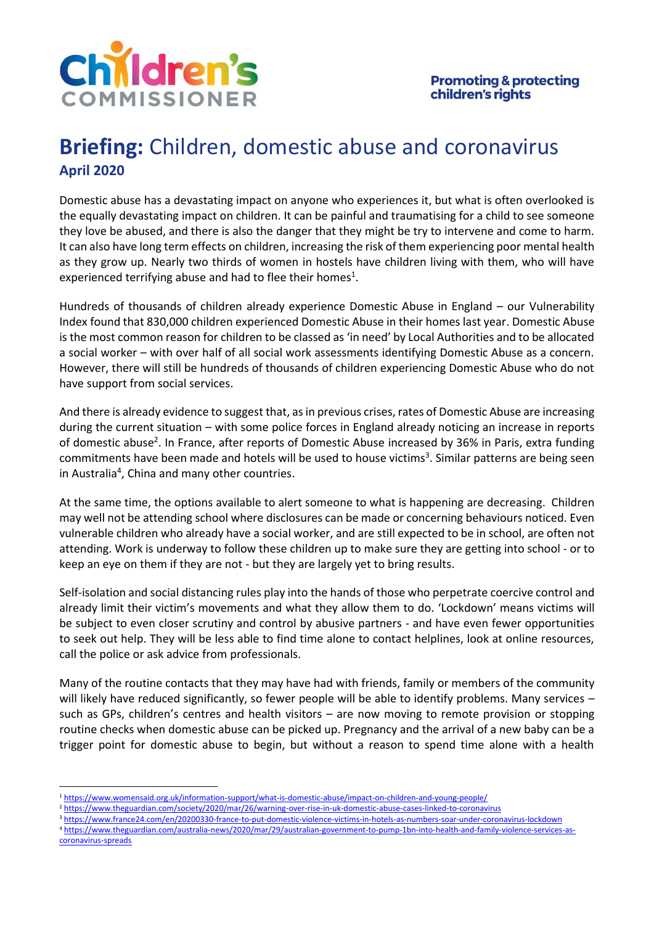

# **Briefing:** Children, domestic abuse and coronavirus **April 2020**

Domestic abuse has a devastating impact on anyone who experiences it, but what is often overlooked is the equally devastating impact on children. It can be painful and traumatising for a child to see someone they love be abused, and there is also the danger that they might be try to intervene and come to harm. It can also have long term effects on children, increasing the risk of them experiencing poor mental health as they grow up. Nearly two thirds of women in hostels have children living with them, who will have experienced terrifying abuse and had to flee their homes<sup>1</sup>.

Hundreds of thousands of children already experience Domestic Abuse in England – our Vulnerability Index found that 830,000 children experienced Domestic Abuse in their homes last year. Domestic Abuse is the most common reason for children to be classed as 'in need' by Local Authorities and to be allocated a social worker – with over half of all social work assessments identifying Domestic Abuse as a concern. However, there will still be hundreds of thousands of children experiencing Domestic Abuse who do not have support from social services.

And there is already evidence to suggest that, as in previous crises, rates of Domestic Abuse are increasing during the current situation – with some police forces in England already noticing an increase in reports of domestic abuse<sup>2</sup>. In France, after reports of Domestic Abuse increased by 36% in Paris, extra funding commitments have been made and hotels will be used to house victims<sup>3</sup>. Similar patterns are being seen in Australia<sup>4</sup>, China and many other countries.

At the same time, the options available to alert someone to what is happening are decreasing. Children may well not be attending school where disclosures can be made or concerning behaviours noticed. Even vulnerable children who already have a social worker, and are still expected to be in school, are often not attending. Work is underway to follow these children up to make sure they are getting into school - or to keep an eye on them if they are not - but they are largely yet to bring results.

Self-isolation and social distancing rules play into the hands of those who perpetrate coercive control and already limit their victim's movements and what they allow them to do. 'Lockdown' means victims will be subject to even closer scrutiny and control by abusive partners - and have even fewer opportunities to seek out help. They will be less able to find time alone to contact helplines, look at online resources, call the police or ask advice from professionals.

Many of the routine contacts that they may have had with friends, family or members of the community will likely have reduced significantly, so fewer people will be able to identify problems. Many services such as GPs, children's centres and health visitors – are now moving to remote provision or stopping routine checks when domestic abuse can be picked up. Pregnancy and the arrival of a new baby can be a trigger point for domestic abuse to begin, but without a reason to spend time alone with a health

- <sup>2</sup> <https://www.theguardian.com/society/2020/mar/26/warning-over-rise-in-uk-domestic-abuse-cases-linked-to-coronavirus>
- <sup>3</sup> <https://www.france24.com/en/20200330-france-to-put-domestic-violence-victims-in-hotels-as-numbers-soar-under-coronavirus-lockdown>
- <sup>4</sup> [https://www.theguardian.com/australia-news/2020/mar/29/australian-government-to-pump-1bn-into-health-and-family-violence-services-as](https://www.theguardian.com/australia-news/2020/mar/29/australian-government-to-pump-1bn-into-health-and-family-violence-services-as-coronavirus-spreads)[coronavirus-spreads](https://www.theguardian.com/australia-news/2020/mar/29/australian-government-to-pump-1bn-into-health-and-family-violence-services-as-coronavirus-spreads)

<sup>1</sup> <https://www.womensaid.org.uk/information-support/what-is-domestic-abuse/impact-on-children-and-young-people/>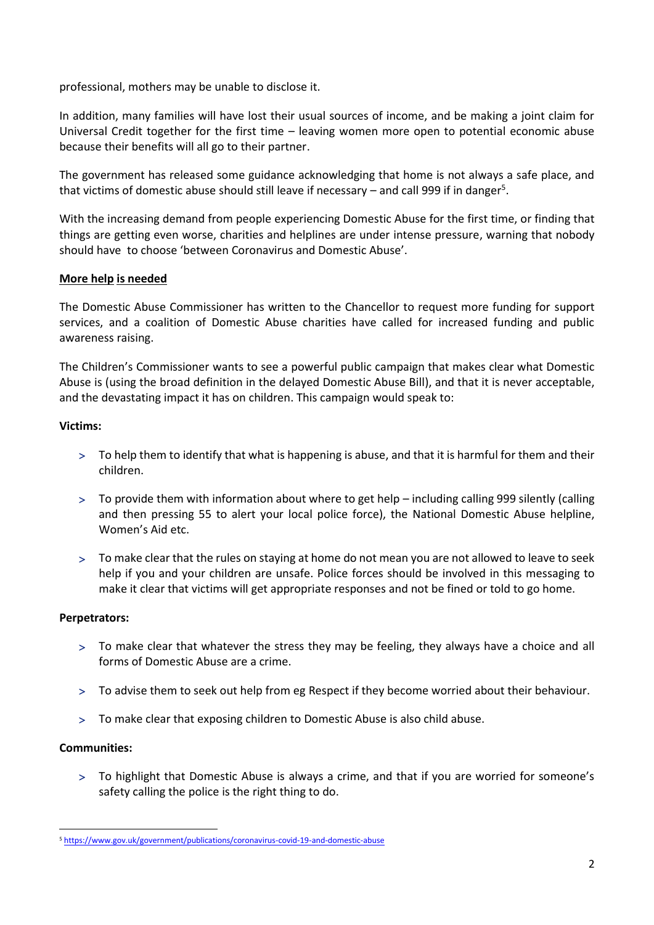professional, mothers may be unable to disclose it.

In addition, many families will have lost their usual sources of income, and be making a joint claim for Universal Credit together for the first time – leaving women more open to potential economic abuse because their benefits will all go to their partner.

The government has released some guidance acknowledging that home is not always a safe place, and that victims of domestic abuse should still leave if necessary – and call 999 if in danger<sup>5</sup>.

With the increasing demand from people experiencing Domestic Abuse for the first time, or finding that things are getting even worse, charities and helplines are under intense pressure, warning that nobody should have to choose 'between Coronavirus and Domestic Abuse'.

## **More help is needed**

The Domestic Abuse Commissioner has written to the Chancellor to request more funding for support services, and a coalition of Domestic Abuse charities have called for increased funding and public awareness raising.

The Children's Commissioner wants to see a powerful public campaign that makes clear what Domestic Abuse is (using the broad definition in the delayed Domestic Abuse Bill), and that it is never acceptable, and the devastating impact it has on children. This campaign would speak to:

### **Victims:**

- To help them to identify that what is happening is abuse, and that it is harmful for them and their children.
- To provide them with information about where to get help including calling 999 silently (calling and then pressing 55 to alert your local police force), the National Domestic Abuse helpline, Women's Aid etc.
- To make clear that the rules on staying at home do not mean you are not allowed to leave to seek help if you and your children are unsafe. Police forces should be involved in this messaging to make it clear that victims will get appropriate responses and not be fined or told to go home.

#### **Perpetrators:**

- To make clear that whatever the stress they may be feeling, they always have a choice and all forms of Domestic Abuse are a crime.
- To advise them to seek out help from eg Respect if they become worried about their behaviour.
- To make clear that exposing children to Domestic Abuse is also child abuse.

## **Communities:**

 To highlight that Domestic Abuse is always a crime, and that if you are worried for someone's safety calling the police is the right thing to do.

<sup>5</sup> <https://www.gov.uk/government/publications/coronavirus-covid-19-and-domestic-abuse>